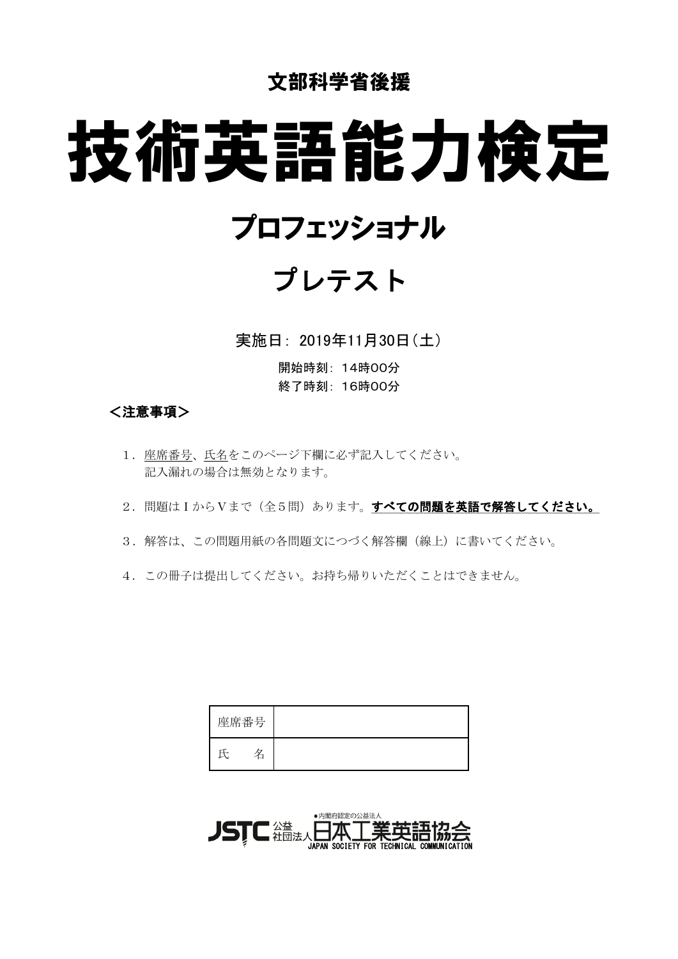### 文部科学省後援

# 技術英語能力検定

## プロフェッショナル

# プレテスト

実施日: 2019年11月30日(土)

開始時刻: 14時00分 終了時刻: 16時00分

#### <注意事項>

- 1. 座席番号、氏名をこのページ下欄に必ず記入してください。 記入漏れの場合は無効となります。
- 2. 問題はIからVまで(全5問)あります。すべての問題を英語で解答してください。
- 3. 解答は、この問題用紙の各問題文につづく解答欄(線上)に書いてください。
- 4. この冊子は提出してください。お持ち帰りいただくことはできません。

| 座席番号 |  |
|------|--|
|      |  |

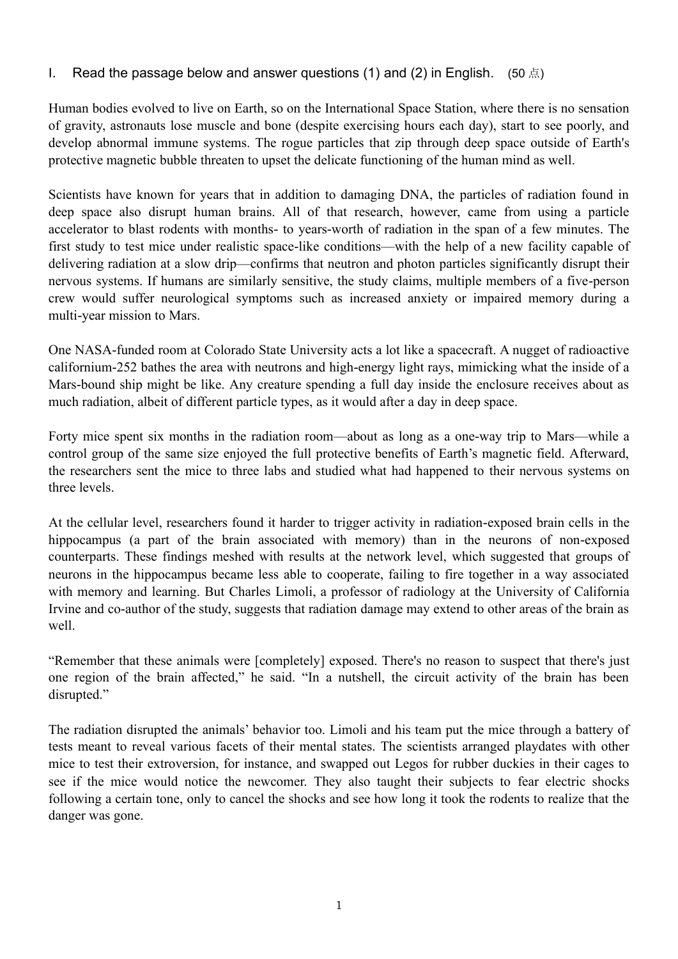#### I. Read the passage below and answer questions (1) and (2) in English. (50  $\pm$ )

Human bodies evolved to live on Earth, so on the International Space Station, where there is no sensation of gravity, astronauts lose muscle and bone (despite exercising hours each day), start to see poorly, and develop abnormal immune systems. The rogue particles that zip through deep space outside of Earth's protective magnetic bubble threaten to upset the delicate functioning of the human mind as well.

Scientists have known for years that in addition to damaging DNA, the particles of radiation found in deep space also disrupt human brains. All of that research, however, came from using a particle accelerator to blast rodents with months- to years-worth of radiation in the span of a few minutes. The first study to test mice under realistic space-like conditions—with the help of a new facility capable of delivering radiation at a slow drip—confirms that neutron and photon particles significantly disrupt their nervous systems. If humans are similarly sensitive, the study claims, multiple members of a five-person crew would suffer neurological symptoms such as increased anxiety or impaired memory during a multi-year mission to Mars.

One NASA-funded room at Colorado State University acts a lot like a spacecraft. A nugget of radioactive californium-252 bathes the area with neutrons and high-energy light rays, mimicking what the inside of a Mars-bound ship might be like. Any creature spending a full day inside the enclosure receives about as much radiation, albeit of different particle types, as it would after a day in deep space.

Forty mice spent six months in the radiation room—about as long as a one-way trip to Mars—while a control group of the same size enjoyed the full protective benefits of Earth's magnetic field. Afterward, the researchers sent the mice to three labs and studied what had happened to their nervous systems on three levels.

At the cellular level, researchers found it harder to trigger activity in radiation-exposed brain cells in the hippocampus (a part of the brain associated with memory) than in the neurons of non-exposed counterparts. These findings meshed with results at the network level, which suggested that groups of neurons in the hippocampus became less able to cooperate, failing to fire together in a way associated with memory and learning. But Charles Limoli, a professor of radiology at the University of California Irvine and co-author of the study, suggests that radiation damage may extend to other areas of the brain as well.

"Remember that these animals were [completely] exposed. There's no reason to suspect that there's just one region of the brain affected," he said. "In a nutshell, the circuit activity of the brain has been disrupted."

The radiation disrupted the animals' behavior too. Limoli and his team put the mice through a battery of tests meant to reveal various facets of their mental states. The scientists arranged playdates with other mice to test their extroversion, for instance, and swapped out Legos for rubber duckies in their cages to see if the mice would notice the newcomer. They also taught their subjects to fear electric shocks following a certain tone, only to cancel the shocks and see how long it took the rodents to realize that the danger was gone.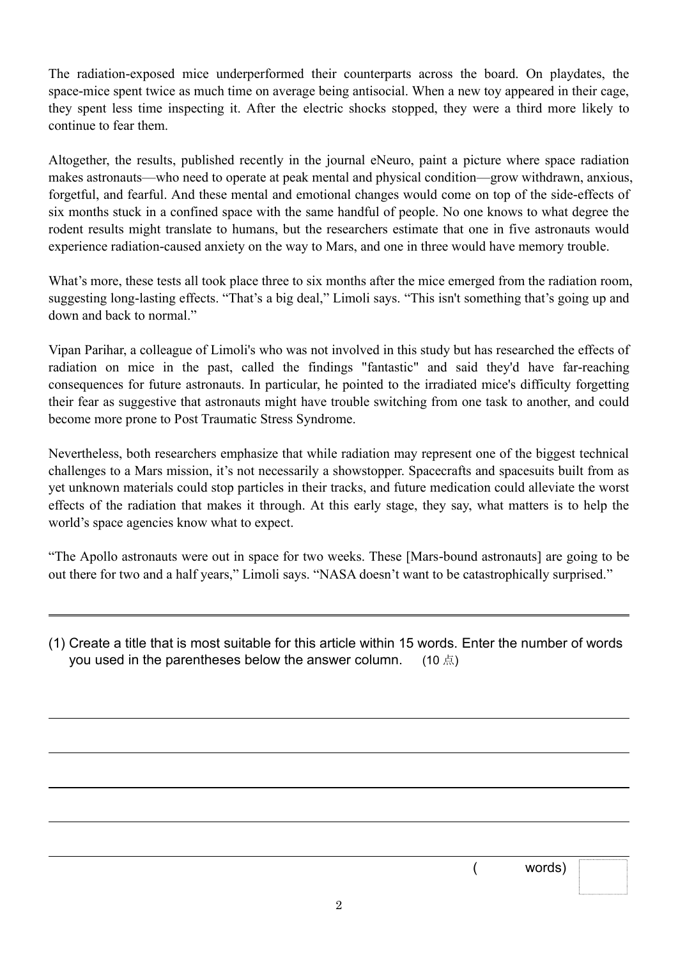The radiation-exposed mice underperformed their counterparts across the board. On playdates, the space-mice spent twice as much time on average being antisocial. When a new toy appeared in their cage, they spent less time inspecting it. After the electric shocks stopped, they were a third more likely to continue to fear them.

Altogether, the results, published recently in the journal eNeuro, paint a picture where space radiation makes astronauts—who need to operate at peak mental and physical condition—grow withdrawn, anxious, forgetful, and fearful. And these mental and emotional changes would come on top of the side-effects of six months stuck in a confined space with the same handful of people. No one knows to what degree the rodent results might translate to humans, but the researchers estimate that one in five astronauts would experience radiation-caused anxiety on the way to Mars, and one in three would have memory trouble.

What's more, these tests all took place three to six months after the mice emerged from the radiation room, suggesting long-lasting effects. "That's a big deal," Limoli says. "This isn't something that's going up and down and back to normal."

Vipan Parihar, a colleague of Limoli's who was not involved in this study but has researched the effects of radiation on mice in the past, called the findings "fantastic" and said they'd have far-reaching consequences for future astronauts. In particular, he pointed to the irradiated mice's difficulty forgetting their fear as suggestive that astronauts might have trouble switching from one task to another, and could become more prone to Post Traumatic Stress Syndrome.

Nevertheless, both researchers emphasize that while radiation may represent one of the biggest technical challenges to a Mars mission, it's not necessarily a showstopper. Spacecrafts and spacesuits built from as yet unknown materials could stop particles in their tracks, and future medication could alleviate the worst effects of the radiation that makes it through. At this early stage, they say, what matters is to help the world's space agencies know what to expect.

"The Apollo astronauts were out in space for two weeks. These [Mars-bound astronauts] are going to be out there for two and a half years," Limoli says. "NASA doesn't want to be catastrophically surprised."

 $\overline{a}$ 

 $\overline{a}$ 

 $\overline{a}$ 

( words)

<sup>(1)</sup> Create a title that is most suitable for this article within 15 words. Enter the number of words you used in the parentheses below the answer column. (10  $\sharp$ )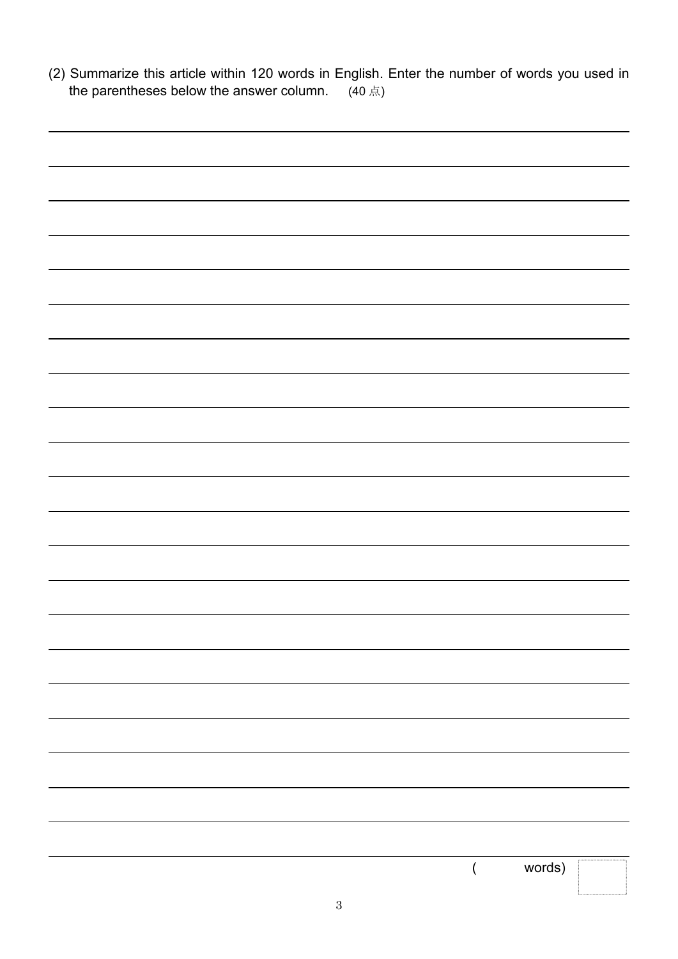| (2) Summarize this article within 120 words in English. Enter the number of words you used in<br>the parentheses below the answer column. $(40 \text{ }\text{\AA})$ |  |        |  |
|---------------------------------------------------------------------------------------------------------------------------------------------------------------------|--|--------|--|
|                                                                                                                                                                     |  |        |  |
|                                                                                                                                                                     |  |        |  |
|                                                                                                                                                                     |  |        |  |
|                                                                                                                                                                     |  |        |  |
|                                                                                                                                                                     |  |        |  |
|                                                                                                                                                                     |  |        |  |
|                                                                                                                                                                     |  |        |  |
|                                                                                                                                                                     |  |        |  |
|                                                                                                                                                                     |  |        |  |
|                                                                                                                                                                     |  |        |  |
|                                                                                                                                                                     |  |        |  |
|                                                                                                                                                                     |  |        |  |
|                                                                                                                                                                     |  |        |  |
|                                                                                                                                                                     |  |        |  |
|                                                                                                                                                                     |  |        |  |
|                                                                                                                                                                     |  |        |  |
|                                                                                                                                                                     |  |        |  |
|                                                                                                                                                                     |  |        |  |
|                                                                                                                                                                     |  |        |  |
|                                                                                                                                                                     |  |        |  |
|                                                                                                                                                                     |  |        |  |
|                                                                                                                                                                     |  |        |  |
|                                                                                                                                                                     |  |        |  |
|                                                                                                                                                                     |  |        |  |
|                                                                                                                                                                     |  |        |  |
|                                                                                                                                                                     |  |        |  |
|                                                                                                                                                                     |  |        |  |
|                                                                                                                                                                     |  |        |  |
|                                                                                                                                                                     |  |        |  |
|                                                                                                                                                                     |  | words) |  |
|                                                                                                                                                                     |  |        |  |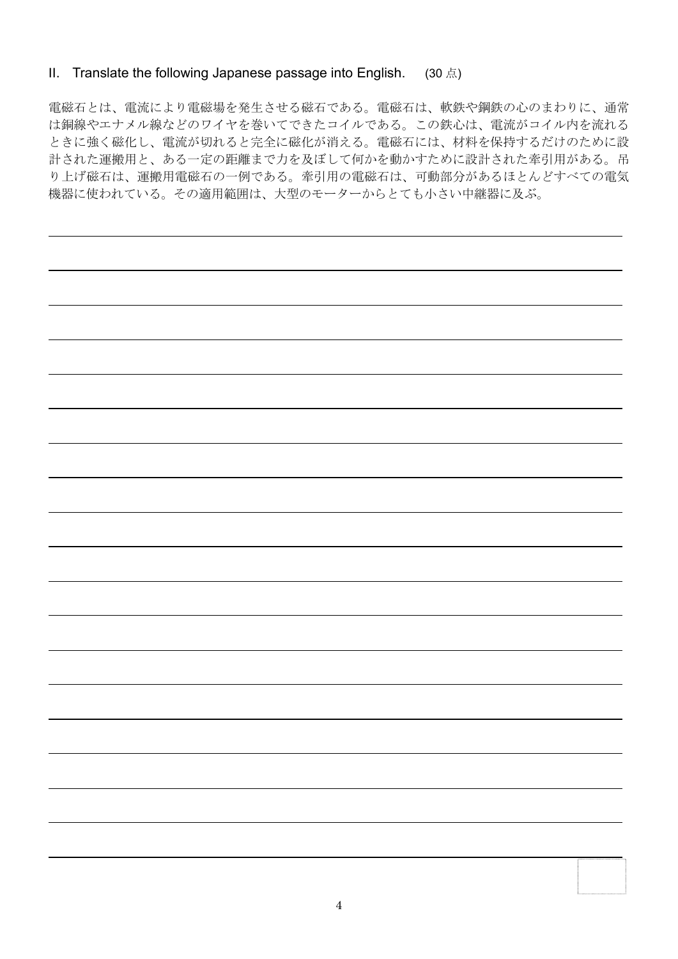#### II. Translate the following Japanese passage into English. (30 点)

電磁石とは、電流により電磁場を発生させる磁石である。電磁石は、軟鉄や鋼鉄の心のまわりに、通常 は銅線やエナメル線などのワイヤを巻いてできたコイルである。この鉄心は、電流がコイル内を流れる ときに強く磁化し、電流が切れると完全に磁化が消える。電磁石には、材料を保持するだけのために設 計された運搬用と、ある一定の距離まで力を及ぼして何かを動かすために設計された牽引用がある。吊 り上げ磁石は、運搬用電磁石の一例である。牽引用の電磁石は、可動部分があるほとんどすべての電気 機器に使われている。その適用範囲は、大型のモーターからとても小さい中継器に及ぶ。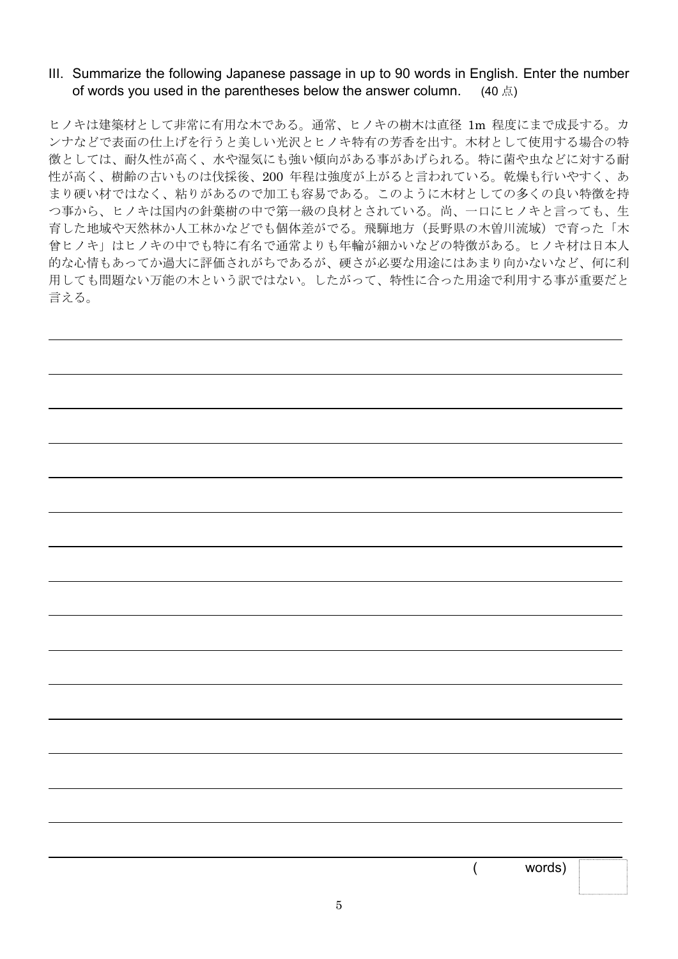#### III. Summarize the following Japanese passage in up to 90 words in English. Enter the number of words you used in the parentheses below the answer column. (40  $\pm$ )

ヒノキは建築材として非常に有用な木である。通常、ヒノキの樹木は直径 1m 程度にまで成長する。カ ンナなどで表面の仕上げを行うと美しい光沢とヒノキ特有の芳香を出す。木材として使用する場合の特 徴としては、耐久性が高く、水や湿気にも強い傾向がある事があげられる。特に菌や虫などに対する耐 性が高く、樹齢の古いものは伐採後、200 年程は強度が上がると言われている。乾燥も行いやすく、あ まり硬い材ではなく、粘りがあるので加工も容易である。このように木材としての多くの良い特徴を持 つ事から、ヒノキは国内の針葉樹の中で第一級の良材とされている。尚、一口にヒノキと言っても、生 育した地域や天然林か人工林かなどでも個体差がでる。飛騨地方(長野県の木曽川流域)で育った「木 曾ヒノキ」はヒノキの中でも特に有名で通常よりも年輪が細かいなどの特徴がある。ヒノキ材は日本人 的な心情もあってか過大に評価されがちであるが、硬さが必要な用途にはあまり向かないなど、何に利 用しても問題ない万能の木という訳ではない。したがって、特性に合った用途で利用する事が重要だと 言える。

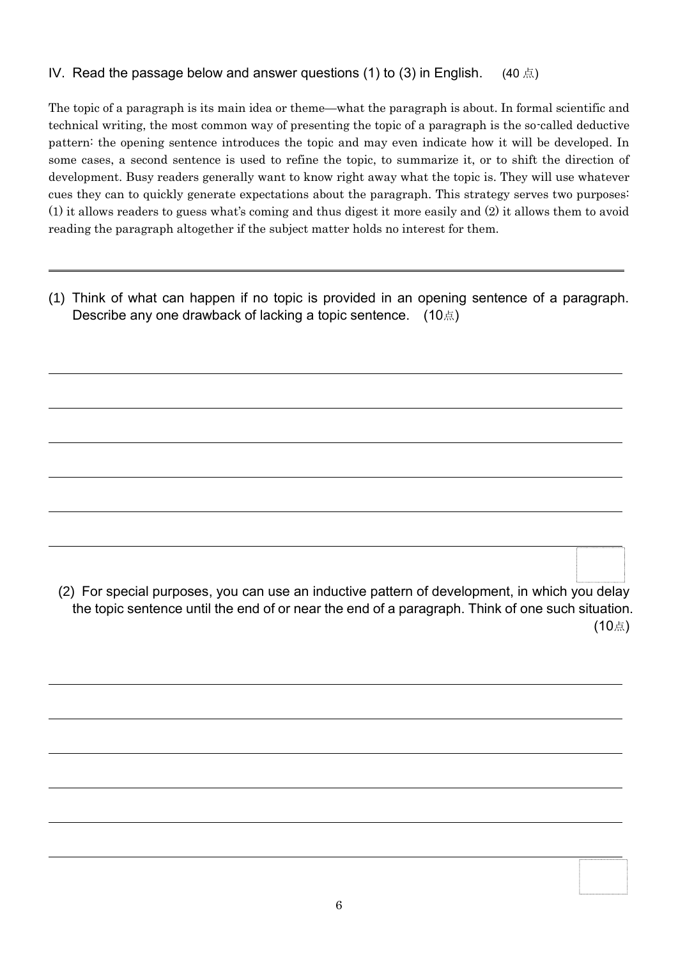#### IV. Read the passage below and answer questions (1) to (3) in English. (40  $\pm$ )

The topic of a paragraph is its main idea or theme—what the paragraph is about. In formal scientific and technical writing, the most common way of presenting the topic of a paragraph is the so-called deductive pattern: the opening sentence introduces the topic and may even indicate how it will be developed. In some cases, a second sentence is used to refine the topic, to summarize it, or to shift the direction of development. Busy readers generally want to know right away what the topic is. They will use whatever cues they can to quickly generate expectations about the paragraph. This strategy serves two purposes: (1) it allows readers to guess what's coming and thus digest it more easily and (2) it allows them to avoid reading the paragraph altogether if the subject matter holds no interest for them.

(1) Think of what can happen if no topic is provided in an opening sentence of a paragraph. **Describe any one drawback of lacking a topic sentence.** (10点)

 $\overline{a}$ 

 $\overline{a}$ 

 $\overline{a}$ 

(2) For special purposes, you can use an inductive pattern of development, in which you delay the topic sentence until the end of or near the end of a paragraph. Think of one such situation. (10点)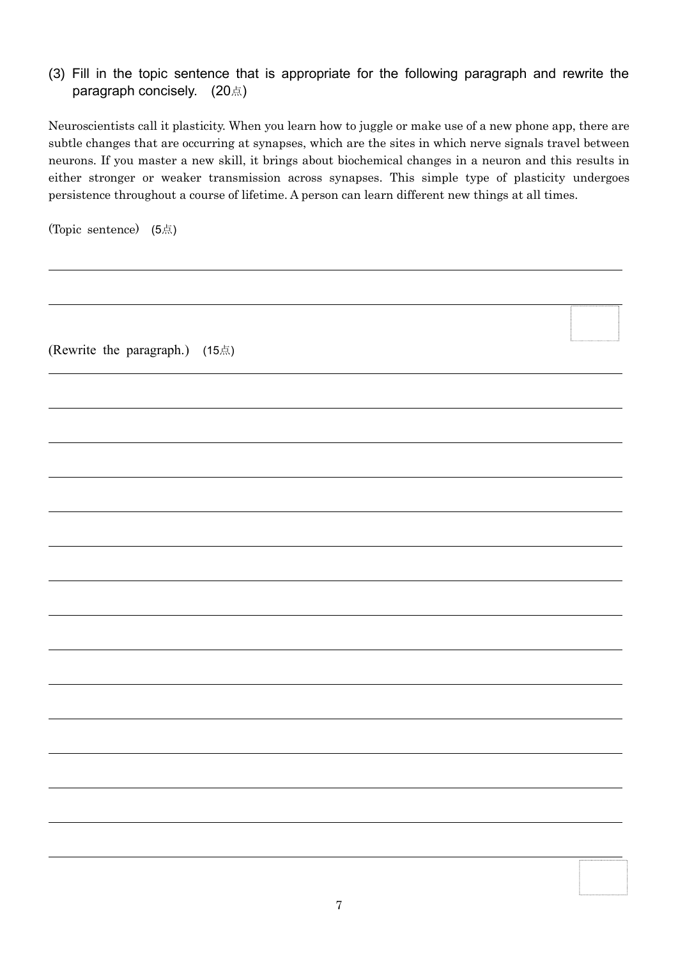#### (3) Fill in the topic sentence that is appropriate for the following paragraph and rewrite the paragraph concisely. (20点)

Neuroscientists call it plasticity. When you learn how to juggle or make use of a new phone app, there are subtle changes that are occurring at synapses, which are the sites in which nerve signals travel between neurons. If you master a new skill, it brings about biochemical changes in a neuron and this results in either stronger or weaker transmission across synapses. This simple type of plasticity undergoes persistence throughout a course of lifetime. A person can learn different new things at all times.

(Topic sentence) (5点)

 $\overline{a}$ 

 $\overline{a}$ 

 $\overline{a}$ 

 $\overline{a}$ 

 $\overline{a}$ 

 $\overline{a}$ 

 $\overline{a}$ 

 $\overline{a}$ 

 $\overline{a}$ 

(Rewrite the paragraph.) (15点)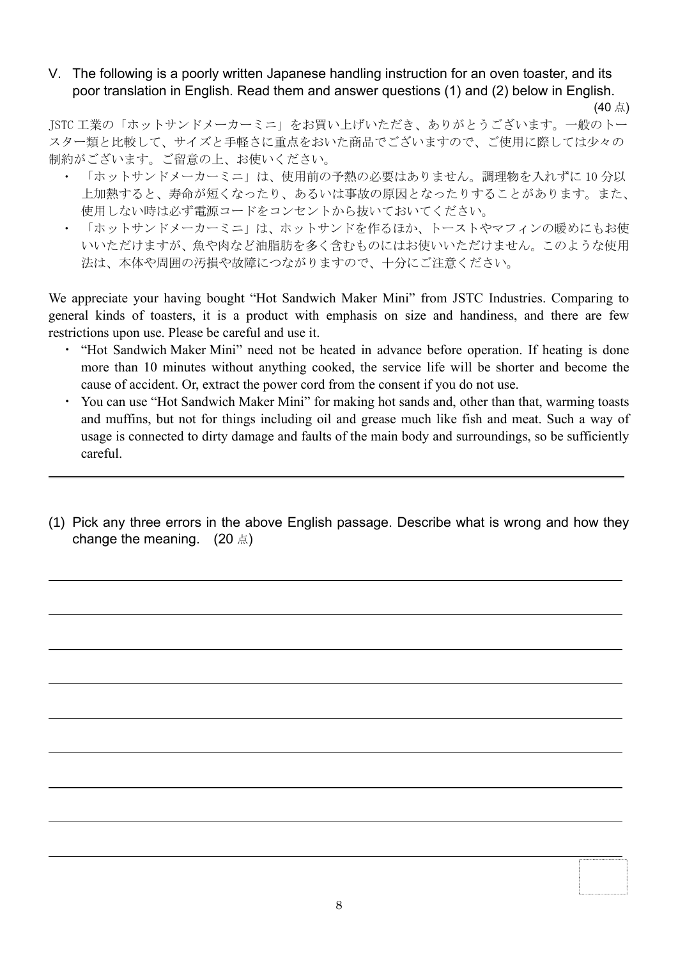#### V. The following is a poorly written Japanese handling instruction for an oven toaster, and its poor translation in English. Read them and answer questions (1) and (2) below in English.

(40 点) JSTC 工業の「ホットサンドメーカーミニ」をお買い上げいただき、ありがとうございます。一般のトー スター類と比較して、サイズと手軽さに重点をおいた商品でございますので、ご使用に際しては少々の 制約がございます。ご留意の上、お使いください。

- ・ 「ホットサンドメーカーミニ」は、使用前の予熱の必要はありません。調理物を入れずに 10 分以 上加熱すると、寿命が短くなったり、あるいは事故の原因となったりすることがあります。また、 使用しない時は必ず電源コードをコンセントから抜いておいてください。
- 「ホットサンドメーカーミニ」は、ホットサンドを作るほか、トーストやマフィンの暖めにもお使 いいただけますが、魚や肉など油脂肪を多く含むものにはお使いいただけません。このような使用 法は、本体や周囲の汚損や故障につながりますので、十分にご注意ください。

We appreciate your having bought "Hot Sandwich Maker Mini" from JSTC Industries. Comparing to general kinds of toasters, it is a product with emphasis on size and handiness, and there are few restrictions upon use. Please be careful and use it.

- ・ "Hot Sandwich Maker Mini" need not be heated in advance before operation. If heating is done more than 10 minutes without anything cooked, the service life will be shorter and become the cause of accident. Or, extract the power cord from the consent if you do not use.
- ・ You can use "Hot Sandwich Maker Mini" for making hot sands and, other than that, warming toasts and muffins, but not for things including oil and grease much like fish and meat. Such a way of usage is connected to dirty damage and faults of the main body and surroundings, so be sufficiently careful.
- (1) Pick any three errors in the above English passage. Describe what is wrong and how they change the meaning.  $(20 \text{ A})$

l

l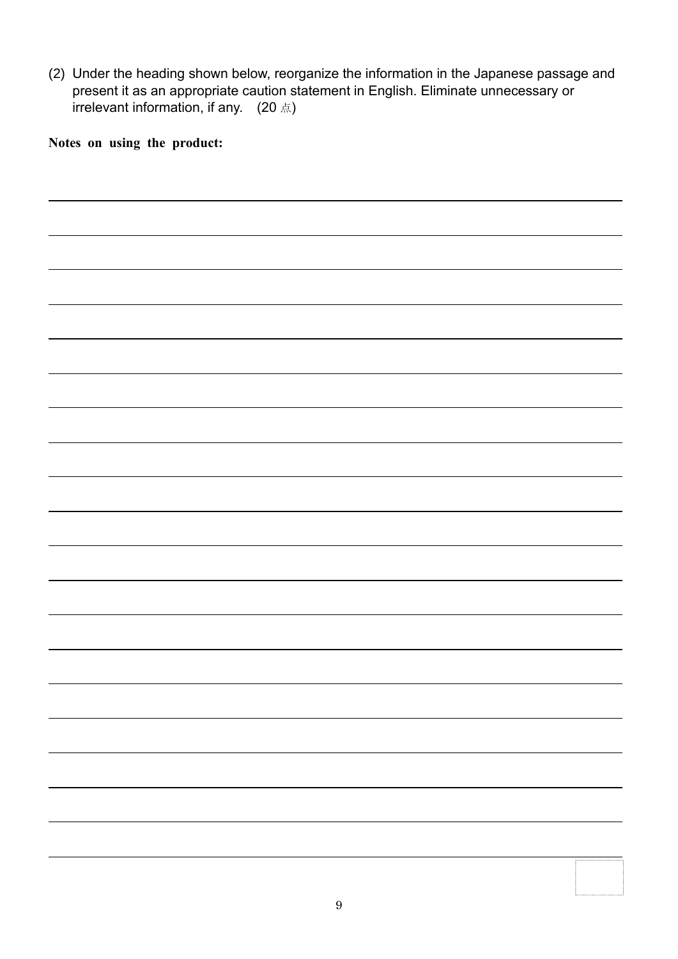(2) Under the heading shown below, reorganize the information in the Japanese passage and present it as an appropriate caution statement in English. Eliminate unnecessary or **irrelevant information, if any.** (20 点)

**Notes on using the product:**